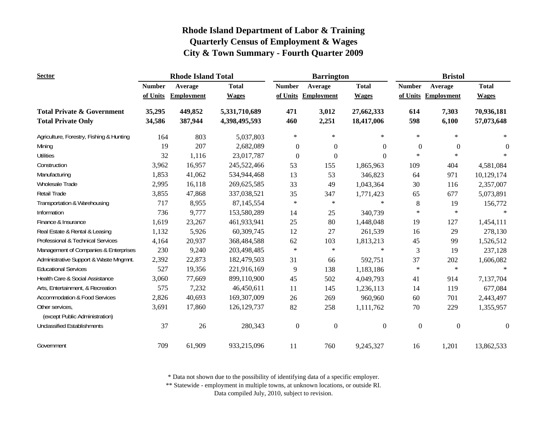| <b>Sector</b>                                                      |                  | <b>Rhode Island Total</b> |                                |                  | <b>Barrington</b>   |                          | <b>Bristol</b>             |                     |                          |
|--------------------------------------------------------------------|------------------|---------------------------|--------------------------------|------------------|---------------------|--------------------------|----------------------------|---------------------|--------------------------|
|                                                                    | <b>Number</b>    | Average                   | <b>Total</b>                   | <b>Number</b>    | Average             | <b>Total</b>             | <b>Number</b>              | Average             | <b>Total</b>             |
|                                                                    | of Units         | <b>Employment</b>         | <b>Wages</b>                   |                  | of Units Employment | <b>Wages</b>             |                            | of Units Employment | <b>Wages</b>             |
| <b>Total Private &amp; Government</b><br><b>Total Private Only</b> | 35,295<br>34,586 | 449,852<br>387,944        | 5,331,710,689<br>4,398,495,593 | 471<br>460       | 3,012<br>2,251      | 27,662,333<br>18,417,006 | 614<br>598                 | 7,303<br>6,100      | 70,936,181<br>57,073,648 |
| Agriculture, Forestry, Fishing & Hunting                           | 164              | 803                       |                                | $\ast$           | $\ast$              | $\ast$                   | $\ast$                     | $\star$             | $\ast$                   |
|                                                                    |                  | 207                       | 5,037,803                      |                  |                     |                          |                            |                     |                          |
| Mining                                                             | 19               |                           | 2,682,089                      | $\overline{0}$   | $\Omega$            | $\theta$                 | $\boldsymbol{0}$<br>$\ast$ | $\mathbf{0}$        | $\theta$<br>$\ast$       |
| <b>Utilities</b>                                                   | 32               | 1,116                     | 23,017,787                     | $\theta$         | $\Omega$            | $\Omega$                 |                            | $\ast$              |                          |
| Construction                                                       | 3,962            | 16,957                    | 245,522,466                    | 53               | 155                 | 1,865,963                | 109                        | 404                 | 4,581,084                |
| Manufacturing                                                      | 1,853            | 41,062                    | 534,944,468                    | 13               | 53                  | 346,823                  | 64                         | 971                 | 10,129,174               |
| Wholesale Trade                                                    | 2,995            | 16,118                    | 269,625,585                    | 33               | 49                  | 1,043,364                | 30                         | 116                 | 2,357,007                |
| Retail Trade                                                       | 3,855            | 47,868                    | 337,038,521                    | 35               | 347                 | 1,771,423                | 65                         | 677                 | 5,073,891                |
| Transportation & Warehousing                                       | 717              | 8,955                     | 87,145,554                     | $\ast$           | $\ast$              | $\ast$                   | 8                          | 19                  | 156,772                  |
| Information                                                        | 736              | 9,777                     | 153,580,289                    | 14               | 25                  | 340,739                  | $\ast$                     | $\ast$              |                          |
| Finance & Insurance                                                | 1,619            | 23,267                    | 461,933,941                    | 25               | 80                  | 1,448,048                | 19                         | 127                 | 1,454,111                |
| Real Estate & Rental & Leasing                                     | 1,132            | 5,926                     | 60,309,745                     | 12               | 27                  | 261,539                  | 16                         | 29                  | 278,130                  |
| Professional & Technical Services                                  | 4,164            | 20,937                    | 368,484,588                    | 62               | 103                 | 1,813,213                | 45                         | 99                  | 1,526,512                |
| Management of Companies & Enterprises                              | 230              | 9,240                     | 203,498,485                    | $\ast$           | $\ast$              | $\ast$                   | 3                          | 19                  | 237,128                  |
| Administrative Support & Waste Mngmnt.                             | 2,392            | 22,873                    | 182,479,503                    | 31               | 66                  | 592,751                  | 37                         | 202                 | 1,606,082                |
| <b>Educational Services</b>                                        | 527              | 19,356                    | 221,916,169                    | 9                | 138                 | 1,183,186                | $\ast$                     | $\ast$              | $\ast$                   |
| Health Care & Social Assistance                                    | 3,060            | 77,669                    | 899,110,900                    | 45               | 502                 | 4,049,793                | 41                         | 914                 | 7,137,704                |
| Arts, Entertainment, & Recreation                                  | 575              | 7,232                     | 46,450,611                     | 11               | 145                 | 1,236,113                | 14                         | 119                 | 677,084                  |
| <b>Accommodation &amp; Food Services</b>                           | 2,826            | 40,693                    | 169,307,009                    | 26               | 269                 | 960,960                  | 60                         | 701                 | 2,443,497                |
| Other services,<br>(except Public Administration)                  | 3,691            | 17,860                    | 126, 129, 737                  | 82               | 258                 | 1,111,762                | $70\,$                     | 229                 | 1,355,957                |
| <b>Unclassified Establishments</b>                                 | 37               | 26                        | 280,343                        | $\boldsymbol{0}$ | $\boldsymbol{0}$    | $\overline{0}$           | $\boldsymbol{0}$           | $\boldsymbol{0}$    | $\mathbf{0}$             |
| Government                                                         | 709              | 61,909                    | 933,215,096                    | 11               | 760                 | 9,245,327                | 16                         | 1,201               | 13,862,533               |

\* Data not shown due to the possibility of identifying data of a specific employer.

\*\* Statewide - employment in multiple towns, at unknown locations, or outside RI.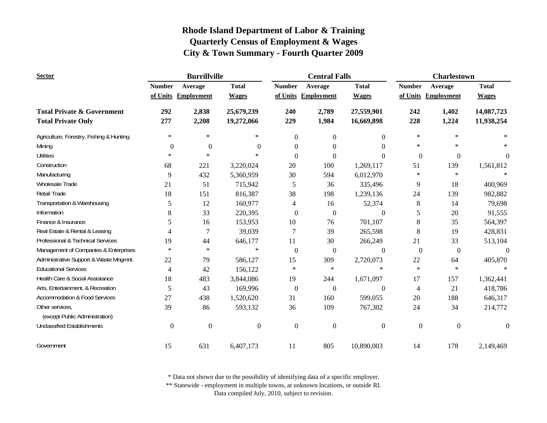| <b>Sector</b>                            |                  | <b>Burrillville</b> |                  |                | <b>Central Falls</b> |                  | <b>Charlestown</b> |                     |                  |
|------------------------------------------|------------------|---------------------|------------------|----------------|----------------------|------------------|--------------------|---------------------|------------------|
|                                          | <b>Number</b>    | Average             | <b>Total</b>     | <b>Number</b>  | Average              | <b>Total</b>     | <b>Number</b>      | Average             | <b>Total</b>     |
|                                          |                  | of Units Employment | <b>Wages</b>     |                | of Units Employment  | <b>Wages</b>     |                    | of Units Employment | <b>Wages</b>     |
| <b>Total Private &amp; Government</b>    | 292              | 2,838               | 25,679,239       | 240            | 2,789                | 27,559,901       | 242                | 1,402               | 14,087,723       |
| <b>Total Private Only</b>                | 277              | 2,208               | 19,272,066       | 229            | 1,984                | 16,669,898       | 228                | 1,224               | 11,938,254       |
| Agriculture, Forestry, Fishing & Hunting | $\ast$           | $\ast$              | $\ast$           | $\Omega$       | $\overline{0}$       | $\theta$         | $\ast$             | $\ast$              | $\ast$           |
| Mining                                   | $\mathbf{0}$     | $\mathbf{0}$        | $\mathbf{0}$     | $\overline{0}$ | $\overline{0}$       | $\Omega$         | $\ast$             | *                   |                  |
| <b>Utilities</b>                         | $\ast$           | $\ast$              | $\ast$           | $\theta$       | $\Omega$             | $\theta$         | $\Omega$           | $\boldsymbol{0}$    | $\theta$         |
| Construction                             | 68               | 221                 | 3,220,024        | 20             | 100                  | 1,269,117        | 51                 | 139                 | 1,561,812        |
| Manufacturing                            | 9                | 432                 | 5,360,959        | 30             | 594                  | 6,012,970        | $\ast$             | $\ast$              |                  |
| Wholesale Trade                          | 21               | 51                  | 715,942          | 5              | 36                   | 335,496          | 9                  | 18                  | 400,969          |
| Retail Trade                             | 18               | 151                 | 816,387          | 38             | 198                  | 1,239,136        | 24                 | 139                 | 982,882          |
| Transportation & Warehousing             | 5                | 12                  | 160,977          | 4              | 16                   | 52,374           | 8                  | 14                  | 79,698           |
| Information                              | 8                | 33                  | 220,395          | $\overline{0}$ | $\overline{0}$       | $\overline{0}$   | 5                  | 20                  | 91,555           |
| Finance & Insurance                      | 5                | 16                  | 153,953          | 10             | 76                   | 701,107          | $8\,$              | 35                  | 564,397          |
| Real Estate & Rental & Leasing           | 4                | 7                   | 39,039           | $\overline{7}$ | 39                   | 265,598          | 8                  | 19                  | 428,831          |
| Professional & Technical Services        | 19               | 44                  | 646,177          | 11             | 30                   | 266,249          | 21                 | 33                  | 513,104          |
| Management of Companies & Enterprises    | $\ast$           | $\ast$              | $\ast$           | $\overline{0}$ | $\mathbf{0}$         | $\boldsymbol{0}$ | $\mathbf{0}$       | $\boldsymbol{0}$    | $\overline{0}$   |
| Administrative Support & Waste Mngmnt.   | 22               | 79                  | 586,127          | 15             | 309                  | 2,720,073        | $22\,$             | 64                  | 405,870          |
| <b>Educational Services</b>              | 4                | 42                  | 156,122          | $\ast$         | $\ast$               | $\ast$           | $\ast$             | $\ast$              |                  |
| Health Care & Social Assistance          | 18               | 483                 | 3,844,086        | 19             | 244                  | 1,671,097        | 17                 | 157                 | 1,362,441        |
| Arts, Entertainment, & Recreation        | 5                | 43                  | 169,996          | $\mathbf{0}$   | $\boldsymbol{0}$     | $\boldsymbol{0}$ | 4                  | 21                  | 418,786          |
| <b>Accommodation &amp; Food Services</b> | 27               | 438                 | 1,520,620        | 31             | 160                  | 599,055          | 20                 | 188                 | 646,317          |
| Other services,                          | 39               | 86                  | 593,132          | 36             | 109                  | 767,302          | 24                 | 34                  | 214,772          |
| (except Public Administration)           |                  |                     |                  |                |                      |                  |                    |                     |                  |
| <b>Unclassified Establishments</b>       | $\boldsymbol{0}$ | $\boldsymbol{0}$    | $\boldsymbol{0}$ | $\mathbf{0}$   | $\mathbf{0}$         | $\boldsymbol{0}$ | $\boldsymbol{0}$   | $\mathbf{0}$        | $\boldsymbol{0}$ |
| Government                               | 15               | 631                 | 6,407,173        | 11             | 805                  | 10,890,003       | 14                 | 178                 | 2,149,469        |

\* Data not shown due to the possibility of identifying data of a specific employer.

\*\* Statewide - employment in multiple towns, at unknown locations, or outside RI.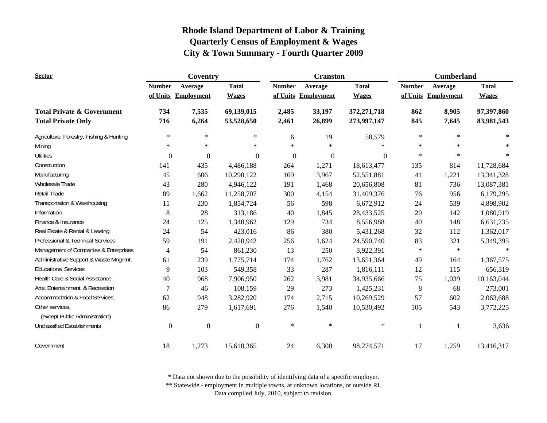| <b>Sector</b>                                     |                  | Coventry            |                  |               | <b>Cranston</b>     |              | <b>Cumberland</b> |                     |              |
|---------------------------------------------------|------------------|---------------------|------------------|---------------|---------------------|--------------|-------------------|---------------------|--------------|
|                                                   | <b>Number</b>    | Average             | <b>Total</b>     | <b>Number</b> | Average             | <b>Total</b> | <b>Number</b>     | Average             | <b>Total</b> |
|                                                   |                  | of Units Employment | <b>Wages</b>     |               | of Units Employment | <b>Wages</b> |                   | of Units Employment | <b>Wages</b> |
| <b>Total Private &amp; Government</b>             | 734              | 7,535               | 69,139,015       | 2,485         | 33,197              | 372,271,718  | 862               | 8,905               | 97,397,860   |
| <b>Total Private Only</b>                         | 716              | 6,264               | 53,528,650       | 2,461         | 26,899              | 273,997,147  | 845               | 7,645               | 83,981,543   |
| Agriculture, Forestry, Fishing & Hunting          | $\ast$           | $\ast$              | $\ast$           | 6             | 19                  | 58,579       | $\ast$            | $\ast$              | $\ast$       |
| Mining                                            | $\ast$           | $\ast$              | $\ast$           | $\ast$        | $\ast$              | $\ast$       | $\ast$            | $\ast$              |              |
| <b>Utilities</b>                                  | $\mathbf{0}$     | $\mathbf{0}$        | $\Omega$         | $\mathbf{0}$  | $\theta$            | $\Omega$     | $\ast$            | $\ast$              |              |
| Construction                                      | 141              | 435                 | 4,486,188        | 264           | 1,271               | 18,613,477   | 135               | 814                 | 11,728,684   |
| Manufacturing                                     | 45               | 606                 | 10,290,122       | 169           | 3,967               | 52,551,881   | 41                | 1,221               | 13,341,328   |
| Wholesale Trade                                   | 43               | 280                 | 4,946,122        | 191           | 1,468               | 20,656,808   | 81                | 736                 | 13,087,381   |
| Retail Trade                                      | 89               | 1,662               | 11,258,707       | 300           | 4,154               | 31,409,376   | 76                | 956                 | 6,179,295    |
| Transportation & Warehousing                      | 11               | 230                 | 1,854,724        | 56            | 598                 | 6,672,912    | 24                | 539                 | 4,898,902    |
| Information                                       | $\,8\,$          | 28                  | 313,186          | 40            | 1,845               | 28,433,525   | 20                | 142                 | 1,080,919    |
| Finance & Insurance                               | 24               | 125                 | 1,340,962        | 129           | 734                 | 8,556,988    | 40                | 148                 | 6,631,735    |
| Real Estate & Rental & Leasing                    | 24               | 54                  | 423,016          | 86            | 380                 | 5,431,268    | 32                | 112                 | 1,362,017    |
| Professional & Technical Services                 | 59               | 191                 | 2,420,942        | 256           | 1,624               | 24,590,740   | 83                | 321                 | 5,349,395    |
| Management of Companies & Enterprises             | $\overline{4}$   | 54                  | 861,230          | 13            | 250                 | 3,922,391    | $\ast$            | $\ast$              | $\ast$       |
| Administrative Support & Waste Mngmnt.            | 61               | 239                 | 1,775,714        | 174           | 1,762               | 13,651,364   | 49                | 164                 | 1,367,575    |
| <b>Educational Services</b>                       | 9                | 103                 | 549,358          | 33            | 287                 | 1,816,111    | 12                | 115                 | 656,319      |
| Health Care & Social Assistance                   | 40               | 968                 | 7,906,950        | 262           | 3,981               | 34,935,666   | 75                | 1,039               | 10,163,044   |
| Arts, Entertainment, & Recreation                 | 7                | 46                  | 108,159          | 29            | 273                 | 1,425,231    | $\,8\,$           | 68                  | 273,001      |
| <b>Accommodation &amp; Food Services</b>          | 62               | 948                 | 3,282,920        | 174           | 2,715               | 10,269,529   | 57                | 602                 | 2,063,688    |
| Other services,<br>(except Public Administration) | 86               | 279                 | 1,617,691        | 276           | 1,540               | 10,530,492   | 105               | 543                 | 3,772,225    |
| <b>Unclassified Establishments</b>                | $\boldsymbol{0}$ | $\boldsymbol{0}$    | $\boldsymbol{0}$ | $\ast$        | $\ast$              | $\ast$       |                   |                     | 3,636        |
| Government                                        | 18               | 1,273               | 15,610,365       | 24            | 6,300               | 98,274,571   | 17                | 1,259               | 13,416,317   |

\* Data not shown due to the possibility of identifying data of a specific employer.

\*\* Statewide - employment in multiple towns, at unknown locations, or outside RI.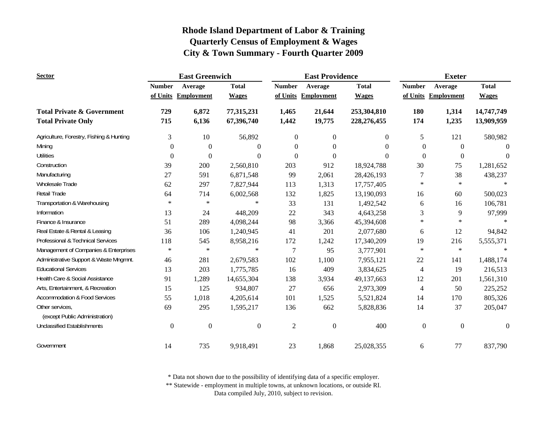| <b>Sector</b>                                     |                  | <b>East Greenwich</b> |                  |                | <b>East Providence</b> |                | <b>Exeter</b>  |                     |                  |
|---------------------------------------------------|------------------|-----------------------|------------------|----------------|------------------------|----------------|----------------|---------------------|------------------|
|                                                   | <b>Number</b>    | Average               | <b>Total</b>     | <b>Number</b>  | Average                | <b>Total</b>   | <b>Number</b>  | Average             | <b>Total</b>     |
|                                                   |                  | of Units Employment   | <b>Wages</b>     |                | of Units Employment    | <b>Wages</b>   |                | of Units Employment | <b>Wages</b>     |
| <b>Total Private &amp; Government</b>             | 729              | 6,872                 | 77,315,231       | 1,465          | 21,644                 | 253,304,810    | 180            | 1,314               | 14,747,749       |
| <b>Total Private Only</b>                         | 715              | 6,136                 | 67,396,740       | 1,442          | 19,775                 | 228,276,455    | 174            | 1,235               | 13,909,959       |
| Agriculture, Forestry, Fishing & Hunting          | 3                | 10                    | 56,892           | $\overline{0}$ | $\overline{0}$         | $\overline{0}$ | 5              | 121                 | 580,982          |
| Mining                                            | $\boldsymbol{0}$ | $\mathbf{0}$          | $\theta$         | $\theta$       | $\Omega$               | 0              | $\Omega$       | $\theta$            | $\Omega$         |
| <b>Utilities</b>                                  | $\Omega$         | $\mathbf{0}$          | $\theta$         | $\Omega$       | $\Omega$               | $\theta$       | $\Omega$       | $\Omega$            | $\theta$         |
| Construction                                      | 39               | 200                   | 2,560,810        | 203            | 912                    | 18,924,788     | 30             | 75                  | 1,281,652        |
| Manufacturing                                     | 27               | 591                   | 6,871,548        | 99             | 2,061                  | 28,426,193     | 7              | 38                  | 438,237          |
| Wholesale Trade                                   | 62               | 297                   | 7,827,944        | 113            | 1,313                  | 17,757,405     | $\ast$         | $\ast$              | $\ast$           |
| Retail Trade                                      | 64               | 714                   | 6,002,568        | 132            | 1,825                  | 13,190,093     | 16             | 60                  | 500,023          |
| Transportation & Warehousing                      | $\ast$           | $\ast$                | $\ast$           | 33             | 131                    | 1,492,542      | 6              | 16                  | 106,781          |
| Information                                       | 13               | 24                    | 448,209          | 22             | 343                    | 4,643,258      | 3              | 9                   | 97,999           |
| Finance & Insurance                               | 51               | 289                   | 4,098,244        | 98             | 3,366                  | 45,394,608     | $\ast$         | $\ast$              | $\ast$           |
| Real Estate & Rental & Leasing                    | 36               | 106                   | 1,240,945        | 41             | 201                    | 2,077,680      | 6              | 12                  | 94,842           |
| Professional & Technical Services                 | 118              | 545                   | 8,958,216        | 172            | 1,242                  | 17,340,209     | 19             | 216                 | 5,555,371        |
| Management of Companies & Enterprises             | $\ast$           | $\ast$                | $\ast$           | 7              | 95                     | 3,777,901      | $\ast$         | $\ast$              | $\ast$           |
| Administrative Support & Waste Mngmnt.            | 46               | 281                   | 2,679,583        | 102            | 1,100                  | 7,955,121      | 22             | 141                 | 1,488,174        |
| <b>Educational Services</b>                       | 13               | 203                   | 1,775,785        | 16             | 409                    | 3,834,625      | 4              | 19                  | 216,513          |
| Health Care & Social Assistance                   | 91               | 1,289                 | 14,655,304       | 138            | 3,934                  | 49,137,663     | 12             | 201                 | 1,561,310        |
| Arts, Entertainment, & Recreation                 | 15               | 125                   | 934,807          | $27\,$         | 656                    | 2,973,309      | $\overline{4}$ | 50                  | 225,252          |
| <b>Accommodation &amp; Food Services</b>          | 55               | 1,018                 | 4,205,614        | 101            | 1,525                  | 5,521,824      | 14             | 170                 | 805,326          |
| Other services,<br>(except Public Administration) | 69               | 295                   | 1,595,217        | 136            | 662                    | 5,828,836      | 14             | 37                  | 205,047          |
| <b>Unclassified Establishments</b>                | $\boldsymbol{0}$ | $\boldsymbol{0}$      | $\boldsymbol{0}$ | $\overline{2}$ | $\boldsymbol{0}$       | 400            | $\mathbf{0}$   | $\mathbf{0}$        | $\boldsymbol{0}$ |
| Government                                        | 14               | 735                   | 9,918,491        | 23             | 1,868                  | 25,028,355     | 6              | 77                  | 837,790          |

\* Data not shown due to the possibility of identifying data of a specific employer.

\*\* Statewide - employment in multiple towns, at unknown locations, or outside RI.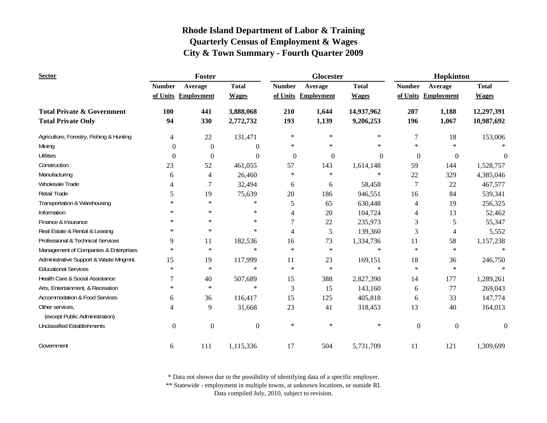| <b>Sector</b>                            |                  | <b>Foster</b>     |                  |                | Glocester           |              | Hopkinton        |                     |                  |
|------------------------------------------|------------------|-------------------|------------------|----------------|---------------------|--------------|------------------|---------------------|------------------|
|                                          | <b>Number</b>    | Average           | <b>Total</b>     | <b>Number</b>  | Average             | <b>Total</b> | <b>Number</b>    | Average             | <b>Total</b>     |
|                                          | of Units         | <b>Employment</b> | <b>Wages</b>     |                | of Units Employment | <b>Wages</b> |                  | of Units Employment | <b>Wages</b>     |
| <b>Total Private &amp; Government</b>    | 100              | 441               | 3,888,068        | 210            | 1,644               | 14,937,962   | 207              | 1,188               | 12,297,391       |
| <b>Total Private Only</b>                | 94               | 330               | 2,772,732        | 193            | 1,139               | 9,206,253    | 196              | 1,067               | 10,987,692       |
| Agriculture, Forestry, Fishing & Hunting | 4                | 22                | 131,471          | $\ast$         | $\ast$              | *            | 7                | 18                  | 153,006          |
| Mining                                   | $\boldsymbol{0}$ | $\boldsymbol{0}$  | $\overline{0}$   | $\ast$         | $\ast$              | $\ast$       | $\ast$           | $\ast$              |                  |
| <b>Utilities</b>                         | $\Omega$         | $\boldsymbol{0}$  | $\Omega$         | $\mathbf{0}$   | $\theta$            | $\Omega$     | $\boldsymbol{0}$ | $\boldsymbol{0}$    | $\Omega$         |
| Construction                             | 23               | 52                | 461,055          | 57             | 143                 | 1,614,148    | 59               | 144                 | 1,528,757        |
| Manufacturing                            | 6                | 4                 | 26,460           | $\ast$         | $\ast$              | $\ast$       | 22               | 329                 | 4,385,046        |
| Wholesale Trade                          | 4                | 7                 | 32,494           | 6              | 6                   | 58,458       | 7                | 22                  | 467,577          |
| Retail Trade                             | 5                | 19                | 75,639           | 20             | 186                 | 946,551      | 16               | 84                  | 539,341          |
| Transportation & Warehousing             | $\ast$           | $\star$           | $\ast$           | 5              | 65                  | 630,448      | $\overline{4}$   | 19                  | 256,325          |
| Information                              | $\ast$           | $\ast$            | $\ast$           | 4              | 20                  | 104,724      | 4                | 13                  | 52,462           |
| Finance & Insurance                      | $\ast$           | $\ast$            | $\ast$           | $\overline{7}$ | 22                  | 235,973      | 3                | 5                   | 55,347           |
| Real Estate & Rental & Leasing           | $\ast$           | $\ast$            | $\ast$           | 4              | 5                   | 139,360      | 3                | $\overline{4}$      | 5,552            |
| Professional & Technical Services        | 9                | 11                | 182,536          | 16             | 73                  | 1,334,736    | 11               | 58                  | 1,157,238        |
| Management of Companies & Enterprises    | $\ast$           | $\ast$            | $\ast$           | $\star$        | $\ast$              | $\ast$       | $\ast$           | $\ast$              |                  |
| Administrative Support & Waste Mngmnt.   | 15               | 19                | 117,999          | 11             | 23                  | 169,151      | 18               | 36                  | 246,750          |
| <b>Educational Services</b>              | $\ast$           | $\star$           | $\star$          | $\ast$         | $\ast$              | $\ast$       | $\ast$           | $\ast$              | $\ast$           |
| Health Care & Social Assistance          | 7                | 40                | 507,689          | 15             | 388                 | 2,827,390    | 14               | 177                 | 1,289,261        |
| Arts, Entertainment, & Recreation        | $\ast$           | $\star$           | $\ast$           | $\mathfrak{Z}$ | 15                  | 143,160      | 6                | 77                  | 269,043          |
| <b>Accommodation &amp; Food Services</b> | 6                | 36                | 116,417          | 15             | 125                 | 405,818      | 6                | 33                  | 147,774          |
| Other services,                          | 4                | 9                 | 31,668           | 23             | 41                  | 318,453      | 13               | 40                  | 164,013          |
| (except Public Administration)           |                  |                   |                  |                |                     |              |                  |                     |                  |
| <b>Unclassified Establishments</b>       | $\boldsymbol{0}$ | $\boldsymbol{0}$  | $\boldsymbol{0}$ | $\ast$         | $\ast$              | $\ast$       | $\boldsymbol{0}$ | $\boldsymbol{0}$    | $\boldsymbol{0}$ |
| Government                               | 6                | 111               | 1,115,336        | 17             | 504                 | 5,731,709    | 11               | 121                 | 1,309,699        |

\* Data not shown due to the possibility of identifying data of a specific employer.

\*\* Statewide - employment in multiple towns, at unknown locations, or outside RI.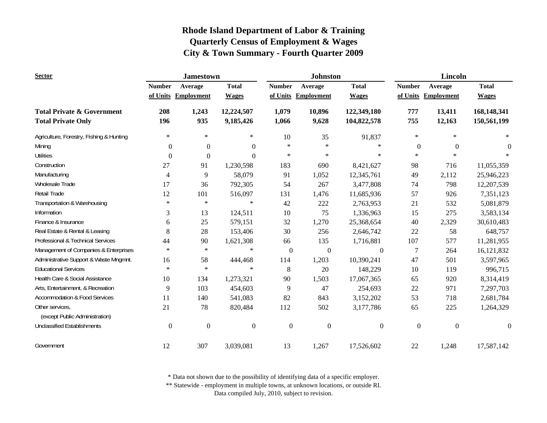| <b>Sector</b>                                     |                  | <b>Jamestown</b>    |                  |                  | <b>Johnston</b>   |                  | Lincoln          |                     |              |
|---------------------------------------------------|------------------|---------------------|------------------|------------------|-------------------|------------------|------------------|---------------------|--------------|
|                                                   | <b>Number</b>    | Average             | <b>Total</b>     | <b>Number</b>    | Average           | <b>Total</b>     | <b>Number</b>    | Average             | <b>Total</b> |
|                                                   |                  | of Units Employment | <b>Wages</b>     | of Units         | <b>Employment</b> | <b>Wages</b>     |                  | of Units Employment | <b>Wages</b> |
| <b>Total Private &amp; Government</b>             | 208              | 1,243               | 12,224,507       | 1,079            | 10,896            | 122,349,180      | 777              | 13,411              | 168,148,341  |
| <b>Total Private Only</b>                         | 196              | 935                 | 9,185,426        | 1,066            | 9,628             | 104,822,578      | 755              | 12,163              | 150,561,199  |
| Agriculture, Forestry, Fishing & Hunting          | $\ast$           | $\ast$              | $\ast$           | 10               | 35                | 91,837           | $\ast$           | $\ast$              | $\ast$       |
| Mining                                            | $\theta$         | $\boldsymbol{0}$    | $\boldsymbol{0}$ | $\ast$           | $\ast$            | $\ast$           | $\mathbf{0}$     | $\theta$            | $\theta$     |
| <b>Utilities</b>                                  | $\Omega$         | $\boldsymbol{0}$    | $\Omega$         | $\ast$           | $\ast$            | $\ast$           | $\ast$           | $\ast$              |              |
| Construction                                      | 27               | 91                  | 1,230,598        | 183              | 690               | 8,421,627        | 98               | 716                 | 11,055,359   |
| Manufacturing                                     | 4                | 9                   | 58,079           | 91               | 1,052             | 12,345,761       | 49               | 2,112               | 25,946,223   |
| <b>Wholesale Trade</b>                            | 17               | 36                  | 792,305          | 54               | 267               | 3,477,808        | 74               | 798                 | 12,207,539   |
| Retail Trade                                      | 12               | 101                 | 516,097          | 131              | 1,476             | 11,685,936       | 57               | 926                 | 7,351,123    |
| Transportation & Warehousing                      | $\ast$           | $\ast$              | $\ast$           | 42               | 222               | 2,763,953        | 21               | 532                 | 5,081,879    |
| Information                                       | 3                | 13                  | 124,511          | 10               | 75                | 1,336,963        | 15               | 275                 | 3,583,134    |
| Finance & Insurance                               | 6                | 25                  | 579,151          | 32               | 1,270             | 25,368,654       | 40               | 2,329               | 30,610,483   |
| Real Estate & Rental & Leasing                    | 8                | 28                  | 153,406          | 30               | 256               | 2,646,742        | 22               | 58                  | 648,757      |
| Professional & Technical Services                 | 44               | 90                  | 1,621,308        | 66               | 135               | 1,716,881        | 107              | 577                 | 11,281,955   |
| Management of Companies & Enterprises             | $\ast$           | $\ast$              | $\ast$           | $\boldsymbol{0}$ | $\boldsymbol{0}$  | $\boldsymbol{0}$ | 7                | 264                 | 16,121,832   |
| Administrative Support & Waste Mngmnt.            | 16               | 58                  | 444,468          | 114              | 1,203             | 10,390,241       | 47               | 501                 | 3,597,965    |
| <b>Educational Services</b>                       | $\ast$           | $\ast$              | $\ast$           | 8                | 20                | 148,229          | 10               | 119                 | 996,715      |
| Health Care & Social Assistance                   | 10               | 134                 | 1,273,321        | 90               | 1,503             | 17,067,365       | 65               | 920                 | 8,314,419    |
| Arts, Entertainment, & Recreation                 | 9                | 103                 | 454,603          | 9                | 47                | 254,693          | 22               | 971                 | 7,297,703    |
| <b>Accommodation &amp; Food Services</b>          | 11               | 140                 | 541,083          | 82               | 843               | 3,152,202        | 53               | 718                 | 2,681,784    |
| Other services,<br>(except Public Administration) | 21               | 78                  | 820,484          | 112              | 502               | 3,177,786        | 65               | 225                 | 1,264,329    |
| <b>Unclassified Establishments</b>                | $\boldsymbol{0}$ | $\boldsymbol{0}$    | $\boldsymbol{0}$ | $\boldsymbol{0}$ | $\boldsymbol{0}$  | $\boldsymbol{0}$ | $\boldsymbol{0}$ | $\boldsymbol{0}$    | $\mathbf{0}$ |
| Government                                        | 12               | 307                 | 3,039,081        | 13               | 1,267             | 17,526,602       | 22               | 1,248               | 17,587,142   |

\* Data not shown due to the possibility of identifying data of a specific employer.

\*\* Statewide - employment in multiple towns, at unknown locations, or outside RI.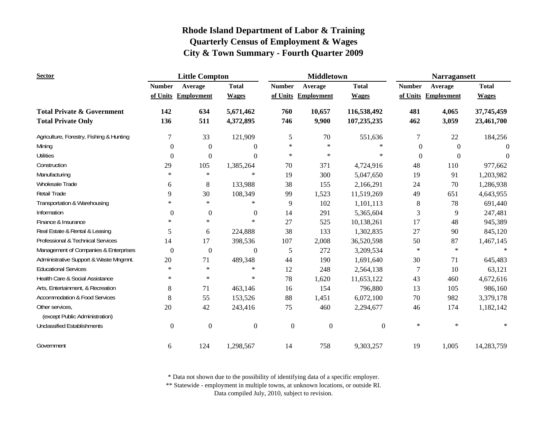| <b>Sector</b>                                     |                  | <b>Little Compton</b> |                  |                  | <b>Middletown</b>   |                  | <b>Narragansett</b> |                     |              |
|---------------------------------------------------|------------------|-----------------------|------------------|------------------|---------------------|------------------|---------------------|---------------------|--------------|
|                                                   | <b>Number</b>    | Average               | <b>Total</b>     | <b>Number</b>    | Average             | <b>Total</b>     | <b>Number</b>       | Average             | <b>Total</b> |
|                                                   |                  | of Units Employment   | <b>Wages</b>     |                  | of Units Employment | <b>Wages</b>     |                     | of Units Employment | <b>Wages</b> |
| <b>Total Private &amp; Government</b>             | 142              | 634                   | 5,671,462        | 760              | 10,657              | 116,538,492      | 481                 | 4,065               | 37,745,459   |
| <b>Total Private Only</b>                         | 136              | 511                   | 4,372,895        | 746              | 9,900               | 107,235,235      | 462                 | 3,059               | 23,461,700   |
| Agriculture, Forestry, Fishing & Hunting          | 7                | 33                    | 121,909          | 5                | 70                  | 551,636          | 7                   | 22                  | 184,256      |
| Mining                                            | $\boldsymbol{0}$ | $\mathbf{0}$          | $\boldsymbol{0}$ | $\ast$           | $\ast$              | $\ast$           | $\mathbf{0}$        | $\boldsymbol{0}$    | $\theta$     |
| <b>Utilities</b>                                  | $\mathbf{0}$     | $\boldsymbol{0}$      | $\theta$         | $\ast$           | $\ast$              | $\ast$           | $\theta$            | $\Omega$            | $\theta$     |
| Construction                                      | 29               | 105                   | 1,385,264        | 70               | 371                 | 4,724,916        | 48                  | 110                 | 977,662      |
| Manufacturing                                     | $\ast$           | $\star$               | $\ast$           | 19               | 300                 | 5,047,650        | 19                  | 91                  | 1,203,982    |
| Wholesale Trade                                   | 6                | 8                     | 133,988          | 38               | 155                 | 2,166,291        | 24                  | 70                  | 1,286,938    |
| Retail Trade                                      | 9                | 30                    | 108,349          | 99               | 1,523               | 11,519,269       | 49                  | 651                 | 4,643,955    |
| Transportation & Warehousing                      | $\ast$           | $\star$               | $\ast$           | 9                | 102                 | 1,101,113        | 8                   | 78                  | 691,440      |
| Information                                       | $\mathbf{0}$     | $\mathbf{0}$          | $\overline{0}$   | 14               | 291                 | 5,365,604        | 3                   | 9                   | 247,481      |
| Finance & Insurance                               | $\ast$           | $\star$               | $\ast$           | 27               | 525                 | 10,138,261       | 17                  | 48                  | 945,389      |
| Real Estate & Rental & Leasing                    | 5                | 6                     | 224,888          | 38               | 133                 | 1,302,835        | 27                  | 90                  | 845,120      |
| Professional & Technical Services                 | 14               | 17                    | 398,536          | 107              | 2,008               | 36,520,598       | 50                  | 87                  | 1,467,145    |
| Management of Companies & Enterprises             | $\boldsymbol{0}$ | $\boldsymbol{0}$      | $\boldsymbol{0}$ | 5                | 272                 | 3,209,534        | $\ast$              | $\star$             | $\ast$       |
| Administrative Support & Waste Mngmnt.            | 20               | 71                    | 489,348          | 44               | 190                 | 1,691,640        | 30                  | 71                  | 645,483      |
| <b>Educational Services</b>                       | $\ast$           | $\ast$                | $\ast$           | 12               | 248                 | 2,564,138        | 7                   | 10                  | 63,121       |
| Health Care & Social Assistance                   | $\ast$           | $\ast$                | $\ast$           | 78               | 1,620               | 11,653,122       | 43                  | 460                 | 4,672,616    |
| Arts, Entertainment, & Recreation                 | 8                | 71                    | 463,146          | 16               | 154                 | 796,880          | 13                  | 105                 | 986,160      |
| <b>Accommodation &amp; Food Services</b>          | 8                | 55                    | 153,526          | 88               | 1,451               | 6,072,100        | $70\,$              | 982                 | 3,379,178    |
| Other services,<br>(except Public Administration) | 20               | 42                    | 243,416          | 75               | 460                 | 2,294,677        | 46                  | 174                 | 1,182,142    |
| <b>Unclassified Establishments</b>                | $\boldsymbol{0}$ | $\boldsymbol{0}$      | $\boldsymbol{0}$ | $\boldsymbol{0}$ | $\boldsymbol{0}$    | $\boldsymbol{0}$ | $\ast$              | $\ast$              | $\ast$       |
| Government                                        | 6                | 124                   | 1,298,567        | 14               | 758                 | 9,303,257        | 19                  | 1,005               | 14,283,759   |

\* Data not shown due to the possibility of identifying data of a specific employer.

\*\* Statewide - employment in multiple towns, at unknown locations, or outside RI.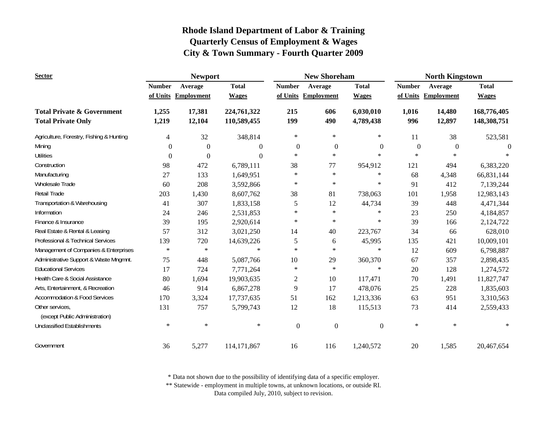| <b>Sector</b>                                     |               | <b>Newport</b>      |               |                  | <b>New Shoreham</b> |                  | <b>North Kingstown</b> |                   |              |
|---------------------------------------------------|---------------|---------------------|---------------|------------------|---------------------|------------------|------------------------|-------------------|--------------|
|                                                   | <b>Number</b> | Average             | <b>Total</b>  | <b>Number</b>    | Average             | <b>Total</b>     | <b>Number</b>          | Average           | <b>Total</b> |
|                                                   |               | of Units Employment | <b>Wages</b>  | of Units         | <b>Employment</b>   | <b>Wages</b>     | of Units               | <b>Employment</b> | <b>Wages</b> |
| <b>Total Private &amp; Government</b>             | 1,255         | 17,381              | 224,761,322   | 215              | 606                 | 6,030,010        | 1,016                  | 14,480            | 168,776,405  |
| <b>Total Private Only</b>                         | 1,219         | 12,104              | 110,589,455   | 199              | 490                 | 4,789,438        | 996                    | 12,897            | 148,308,751  |
| Agriculture, Forestry, Fishing & Hunting          | 4             | 32                  | 348,814       | $\ast$           | $\ast$              | $\ast$           | 11                     | 38                | 523,581      |
| Mining                                            | $\mathbf{0}$  | $\mathbf{0}$        | $\theta$      | $\boldsymbol{0}$ | $\boldsymbol{0}$    | $\boldsymbol{0}$ | $\boldsymbol{0}$       | $\boldsymbol{0}$  | $\Omega$     |
| <b>Utilities</b>                                  | $\mathbf{0}$  | $\mathbf{0}$        | $\Omega$      | $\ast$           | $\ast$              | $\ast$           | $\ast$                 | $\ast$            |              |
| Construction                                      | 98            | 472                 | 6,789,111     | 38               | 77                  | 954,912          | 121                    | 494               | 6,383,220    |
| Manufacturing                                     | 27            | 133                 | 1,649,951     | $\ast$           | $\ast$              | $\ast$           | 68                     | 4,348             | 66,831,144   |
| Wholesale Trade                                   | 60            | 208                 | 3,592,866     | $\ast$           | $\ast$              | $\star$          | 91                     | 412               | 7,139,244    |
| Retail Trade                                      | 203           | 1,430               | 8,607,762     | 38               | 81                  | 738,063          | 101                    | 1,958             | 12,983,143   |
| Transportation & Warehousing                      | 41            | 307                 | 1,833,158     | 5                | 12                  | 44,734           | 39                     | 448               | 4,471,344    |
| Information                                       | 24            | 246                 | 2,531,853     | $\star$          | $\ast$              | $\ast$           | 23                     | 250               | 4,184,857    |
| Finance & Insurance                               | 39            | 195                 | 2,920,614     | $\ast$           | $\ast$              | $\star$          | 39                     | 166               | 2,124,722    |
| Real Estate & Rental & Leasing                    | 57            | 312                 | 3,021,250     | 14               | 40                  | 223,767          | 34                     | 66                | 628,010      |
| Professional & Technical Services                 | 139           | 720                 | 14,639,226    | 5                | 6                   | 45,995           | 135                    | 421               | 10,009,101   |
| Management of Companies & Enterprises             | $\ast$        | $\ast$              | $\ast$        | $\ast$           | $\ast$              | $\ast$           | 12                     | 609               | 6,798,887    |
| Administrative Support & Waste Mngmnt.            | 75            | 448                 | 5,087,766     | 10               | 29                  | 360,370          | 67                     | 357               | 2,898,435    |
| <b>Educational Services</b>                       | 17            | 724                 | 7,771,264     | $\ast$           | $\ast$              | $\ast$           | 20                     | 128               | 1,274,572    |
| Health Care & Social Assistance                   | 80            | 1,694               | 19,903,635    | $\mathbf{2}$     | 10                  | 117,471          | 70                     | 1,491             | 11,827,747   |
| Arts, Entertainment, & Recreation                 | 46            | 914                 | 6,867,278     | 9                | 17                  | 478,076          | 25                     | 228               | 1,835,603    |
| <b>Accommodation &amp; Food Services</b>          | 170           | 3,324               | 17,737,635    | 51               | 162                 | 1,213,336        | 63                     | 951               | 3,310,563    |
| Other services,<br>(except Public Administration) | 131           | 757                 | 5,799,743     | 12               | 18                  | 115,513          | 73                     | 414               | 2,559,433    |
| <b>Unclassified Establishments</b>                | $\ast$        | $\ast$              | $\ast$        | $\boldsymbol{0}$ | $\boldsymbol{0}$    | $\boldsymbol{0}$ | $\ast$                 | $\ast$            | $\ast$       |
| Government                                        | 36            | 5,277               | 114, 171, 867 | 16               | 116                 | 1,240,572        | 20                     | 1,585             | 20,467,654   |

\* Data not shown due to the possibility of identifying data of a specific employer.

\*\* Statewide - employment in multiple towns, at unknown locations, or outside RI.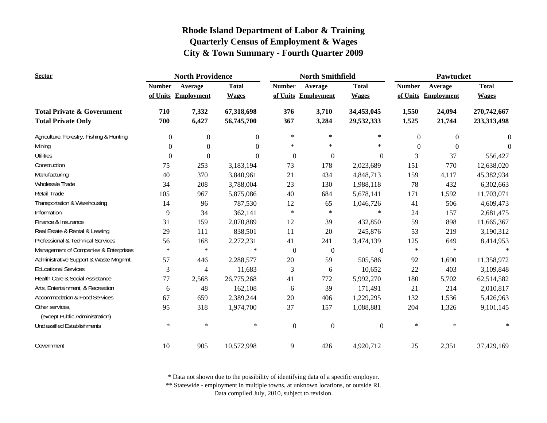| <b>Sector</b>                                                      |                  | <b>North Providence</b> |                          |                  | <b>North Smithfield</b> |                  | Pawtucket        |                   |                |
|--------------------------------------------------------------------|------------------|-------------------------|--------------------------|------------------|-------------------------|------------------|------------------|-------------------|----------------|
|                                                                    | <b>Number</b>    | Average                 | <b>Total</b>             | <b>Number</b>    | Average                 | <b>Total</b>     | <b>Number</b>    | Average           | <b>Total</b>   |
|                                                                    |                  | of Units Employment     | <b>Wages</b>             |                  | of Units Employment     | <b>Wages</b>     | of Units         | <b>Employment</b> | <b>Wages</b>   |
| <b>Total Private &amp; Government</b><br><b>Total Private Only</b> | 710<br>700       | 7,332<br>6,427          | 67,318,698<br>56,745,700 | 376<br>367       | 3,710                   | 34,453,045       | 1,550            | 24,094            | 270,742,667    |
|                                                                    |                  |                         |                          |                  | 3,284                   | 29,532,333       | 1,525            | 21,744            | 233,313,498    |
| Agriculture, Forestry, Fishing & Hunting                           | $\overline{0}$   | $\mathbf{0}$            | $\overline{0}$           | $\ast$           | $\ast$                  | $\ast$           | $\boldsymbol{0}$ | $\mathbf{0}$      | $\overline{0}$ |
| Mining                                                             | $\boldsymbol{0}$ | $\boldsymbol{0}$        | $\Omega$                 | $\ast$           | $\ast$                  | $\ast$           | $\boldsymbol{0}$ | $\theta$          | $\theta$       |
| <b>Utilities</b>                                                   | $\Omega$         | $\Omega$                | $\theta$                 | $\Omega$         | $\boldsymbol{0}$        | $\Omega$         | 3                | 37                | 556,427        |
| Construction                                                       | 75               | 253                     | 3,183,194                | 73               | 178                     | 2,023,689        | 151              | 770               | 12,638,020     |
| Manufacturing                                                      | 40               | 370                     | 3,840,961                | 21               | 434                     | 4,848,713        | 159              | 4,117             | 45,382,934     |
| Wholesale Trade                                                    | 34               | 208                     | 3,788,004                | 23               | 130                     | 1,988,118        | 78               | 432               | 6,302,663      |
| <b>Retail Trade</b>                                                | 105              | 967                     | 5,875,086                | 40               | 684                     | 5,678,141        | 171              | 1,592             | 11,703,071     |
| Transportation & Warehousing                                       | 14               | 96                      | 787,530                  | 12               | 65                      | 1,046,726        | 41               | 506               | 4,609,473      |
| Information                                                        | 9                | 34                      | 362,141                  | $\ast$           | $\ast$                  | $\ast$           | 24               | 157               | 2,681,475      |
| Finance & Insurance                                                | 31               | 159                     | 2,070,889                | 12               | 39                      | 432,850          | 59               | 898               | 11,665,367     |
| Real Estate & Rental & Leasing                                     | 29               | 111                     | 838,501                  | 11               | 20                      | 245,876          | 53               | 219               | 3,190,312      |
| Professional & Technical Services                                  | 56               | 168                     | 2,272,231                | 41               | 241                     | 3,474,139        | 125              | 649               | 8,414,953      |
| Management of Companies & Enterprises                              | $\ast$           | $\ast$                  | $\ast$                   | $\boldsymbol{0}$ | $\boldsymbol{0}$        | $\mathbf{0}$     | $\ast$           | $\ast$            | $\ast$         |
| Administrative Support & Waste Mngmnt.                             | 57               | 446                     | 2,288,577                | 20               | 59                      | 505,586          | 92               | 1,690             | 11,358,972     |
| <b>Educational Services</b>                                        | 3                | $\overline{4}$          | 11,683                   | 3                | 6                       | 10,652           | 22               | 403               | 3,109,848      |
| Health Care & Social Assistance                                    | 77               | 2,568                   | 26,775,268               | 41               | 772                     | 5,992,270        | 180              | 5,702             | 62,514,582     |
| Arts, Entertainment, & Recreation                                  | 6                | 48                      | 162,108                  | 6                | 39                      | 171,491          | 21               | 214               | 2,010,817      |
| <b>Accommodation &amp; Food Services</b>                           | 67               | 659                     | 2,389,244                | 20               | 406                     | 1,229,295        | 132              | 1,536             | 5,426,963      |
| Other services,<br>(except Public Administration)                  | 95               | 318                     | 1,974,700                | 37               | 157                     | 1,088,881        | 204              | 1,326             | 9,101,145      |
| <b>Unclassified Establishments</b>                                 | $\ast$           | $\ast$                  | $\ast$                   | $\boldsymbol{0}$ | $\boldsymbol{0}$        | $\boldsymbol{0}$ | $\ast$           | $\ast$            | $\ast$         |
| Government                                                         | 10               | 905                     | 10,572,998               | 9                | 426                     | 4,920,712        | 25               | 2,351             | 37,429,169     |

\* Data not shown due to the possibility of identifying data of a specific employer.

\*\* Statewide - employment in multiple towns, at unknown locations, or outside RI.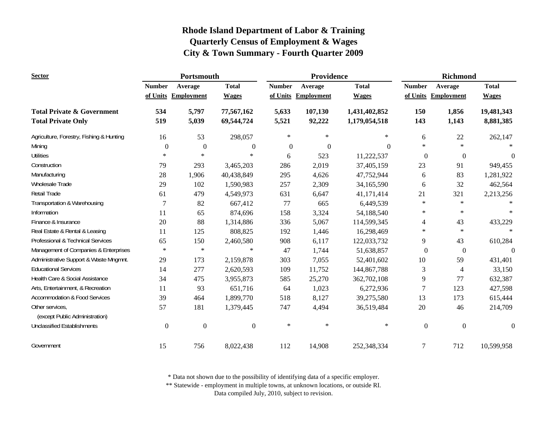| <b>Sector</b>                            | Portsmouth       |                     |                  |               | Providence          |                | <b>Richmond</b>  |                     |              |
|------------------------------------------|------------------|---------------------|------------------|---------------|---------------------|----------------|------------------|---------------------|--------------|
|                                          | <b>Number</b>    | Average             | <b>Total</b>     | <b>Number</b> | Average             | <b>Total</b>   | <b>Number</b>    | Average             | <b>Total</b> |
|                                          |                  | of Units Employment | <b>Wages</b>     |               | of Units Employment | <b>Wages</b>   |                  | of Units Employment | <b>Wages</b> |
| <b>Total Private &amp; Government</b>    | 534              | 5,797               | 77,567,162       | 5,633         | 107,130             | 1,431,402,852  | 150              | 1,856               | 19,481,343   |
| <b>Total Private Only</b>                | 519              | 5,039               | 69,544,724       | 5,521         | 92,222              | 1,179,054,518  | 143              | 1,143               | 8,881,385    |
| Agriculture, Forestry, Fishing & Hunting | 16               | 53                  | 298,057          | $\star$       | $\ast$              | $\ast$         | 6                | 22                  | 262,147      |
| Mining                                   | $\boldsymbol{0}$ | $\mathbf{0}$        | $\boldsymbol{0}$ | $\mathbf{0}$  | $\mathbf{0}$        | $\overline{0}$ | $\ast$           | $\ast$              |              |
| <b>Utilities</b>                         | $\ast$           | $\ast$              | $\ast$           | 6             | 523                 | 11,222,537     | $\mathbf{0}$     | $\theta$            | $\Omega$     |
| Construction                             | 79               | 293                 | 3,465,203        | 286           | 2,019               | 37,405,159     | 23               | 91                  | 949,455      |
| Manufacturing                            | 28               | 1,906               | 40,438,849       | 295           | 4,626               | 47,752,944     | 6                | 83                  | 1,281,922    |
| Wholesale Trade                          | 29               | 102                 | 1,590,983        | 257           | 2,309               | 34,165,590     | 6                | 32                  | 462,564      |
| <b>Retail Trade</b>                      | 61               | 479                 | 4,549,973        | 631           | 6,647               | 41,171,414     | 21               | 321                 | 2,213,256    |
| Transportation & Warehousing             | $\overline{7}$   | 82                  | 667,412          | 77            | 665                 | 6,449,539      | $\ast$           | $\ast$              |              |
| Information                              | 11               | 65                  | 874,696          | 158           | 3,324               | 54,188,540     | $\ast$           | $\ast$              |              |
| Finance & Insurance                      | 20               | 88                  | 1,314,886        | 336           | 5,067               | 114,599,345    | $\overline{4}$   | 43                  | 433,229      |
| Real Estate & Rental & Leasing           | 11               | 125                 | 808,825          | 192           | 1,446               | 16,298,469     | $\ast$           | $\ast$              | $\ast$       |
| Professional & Technical Services        | 65               | 150                 | 2,460,580        | 908           | 6,117               | 122,033,732    | 9                | 43                  | 610,284      |
| Management of Companies & Enterprises    | $\ast$           | $\ast$              | $\ast$           | 47            | 1,744               | 51,638,857     | $\theta$         | $\mathbf{0}$        | $\theta$     |
| Administrative Support & Waste Mngmnt.   | 29               | 173                 | 2,159,878        | 303           | 7,055               | 52,401,602     | 10               | 59                  | 431,401      |
| <b>Educational Services</b>              | 14               | 277                 | 2,620,593        | 109           | 11,752              | 144,867,788    | $\mathfrak{Z}$   | 4                   | 33,150       |
| Health Care & Social Assistance          | 34               | 475                 | 3,955,873        | 585           | 25,270              | 362,702,108    | 9                | 77                  | 632,387      |
| Arts, Entertainment, & Recreation        | 11               | 93                  | 651,716          | 64            | 1,023               | 6,272,936      | $\overline{7}$   | 123                 | 427,598      |
| <b>Accommodation &amp; Food Services</b> | 39               | 464                 | 1,899,770        | 518           | 8,127               | 39,275,580     | 13               | 173                 | 615,444      |
| Other services,                          | 57               | 181                 | 1,379,445        | 747           | 4,494               | 36,519,484     | $20\,$           | 46                  | 214,709      |
| (except Public Administration)           |                  |                     |                  |               |                     |                |                  |                     |              |
| <b>Unclassified Establishments</b>       | $\mathbf{0}$     | $\boldsymbol{0}$    | $\boldsymbol{0}$ | $\star$       | $\ast$              | $\ast$         | $\boldsymbol{0}$ | $\boldsymbol{0}$    | $\mathbf{0}$ |
| Government                               | 15               | 756                 | 8,022,438        | 112           | 14,908              | 252,348,334    | 7                | 712                 | 10,599,958   |

\* Data not shown due to the possibility of identifying data of a specific employer.

\*\* Statewide - employment in multiple towns, at unknown locations, or outside RI.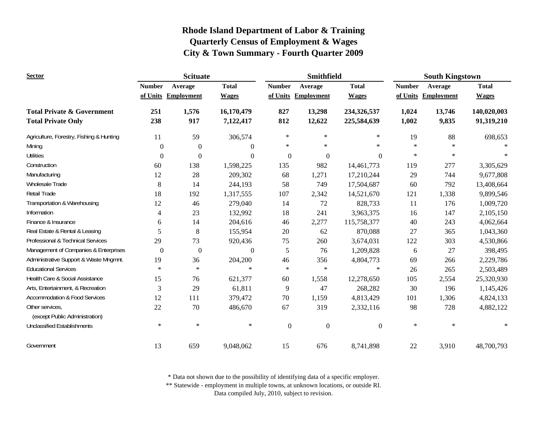| <b>Sector</b>                                     |               | <b>Scituate</b>     |              |                  | <b>Smithfield</b>   |                  | <b>South Kingstown</b> |                     |              |
|---------------------------------------------------|---------------|---------------------|--------------|------------------|---------------------|------------------|------------------------|---------------------|--------------|
|                                                   | <b>Number</b> | Average             | <b>Total</b> | <b>Number</b>    | Average             | <b>Total</b>     | <b>Number</b>          | Average             | <b>Total</b> |
|                                                   |               | of Units Employment | <b>Wages</b> |                  | of Units Employment | <b>Wages</b>     |                        | of Units Employment | <b>Wages</b> |
| <b>Total Private &amp; Government</b>             | 251           | 1,576               | 16,170,479   | 827              | 13,298              | 234,326,537      | 1,024                  | 13,746              | 140,020,003  |
| <b>Total Private Only</b>                         | 238           | 917                 | 7,122,417    | 812              | 12,622              | 225,584,639      | 1,002                  | 9,835               | 91,319,210   |
| Agriculture, Forestry, Fishing & Hunting          | 11            | 59                  | 306,574      | $\ast$           | $\ast$              | $\ast$           | 19                     | 88                  | 698,653      |
| Mining                                            | $\mathbf{0}$  | $\mathbf{0}$        | $\theta$     | $\ast$           | $\ast$              | $\star$          | $\ast$                 | $\ast$              |              |
| <b>Utilities</b>                                  | $\Omega$      | $\Omega$            | $\Omega$     | $\mathbf{0}$     | $\mathbf{0}$        | $\theta$         | $\ast$                 | $\ast$              |              |
| Construction                                      | 60            | 138                 | 1,598,225    | 135              | 982                 | 14,461,773       | 119                    | 277                 | 3,305,629    |
| Manufacturing                                     | 12            | 28                  | 209,302      | 68               | 1,271               | 17,210,244       | 29                     | 744                 | 9,677,808    |
| Wholesale Trade                                   | 8             | 14                  | 244,193      | 58               | 749                 | 17,504,687       | 60                     | 792                 | 13,408,664   |
| <b>Retail Trade</b>                               | 18            | 192                 | 1,317,555    | 107              | 2,342               | 14,521,670       | 121                    | 1,338               | 9,899,546    |
| Transportation & Warehousing                      | 12            | 46                  | 279,040      | 14               | 72                  | 828,733          | 11                     | 176                 | 1,009,720    |
| Information                                       | 4             | 23                  | 132,992      | 18               | 241                 | 3,963,375        | 16                     | 147                 | 2,105,150    |
| Finance & Insurance                               | 6             | 14                  | 204,616      | 46               | 2,277               | 115,758,377      | 40                     | 243                 | 4,062,664    |
| Real Estate & Rental & Leasing                    | 5             | 8                   | 155,954      | $20\,$           | 62                  | 870,088          | 27                     | 365                 | 1,043,360    |
| Professional & Technical Services                 | 29            | 73                  | 920,436      | 75               | 260                 | 3,674,031        | 122                    | 303                 | 4,530,866    |
| Management of Companies & Enterprises             | $\theta$      | $\boldsymbol{0}$    | $\mathbf{0}$ | 5                | 76                  | 1,209,828        | 6                      | 27                  | 398,495      |
| Administrative Support & Waste Mngmnt.            | 19            | 36                  | 204,200      | 46               | 356                 | 4,804,773        | 69                     | 266                 | 2,229,786    |
| <b>Educational Services</b>                       | $\ast$        | $\ast$              | $\ast$       | $\ast$           | $\ast$              | $\ast$           | 26                     | 265                 | 2,503,489    |
| Health Care & Social Assistance                   | 15            | 76                  | 621,377      | 60               | 1,558               | 12,278,650       | 105                    | 2,554               | 25,320,930   |
| Arts, Entertainment, & Recreation                 | 3             | 29                  | 61,811       | 9                | 47                  | 268,282          | 30                     | 196                 | 1,145,426    |
| <b>Accommodation &amp; Food Services</b>          | 12            | 111                 | 379,472      | 70               | 1,159               | 4,813,429        | 101                    | 1,306               | 4,824,133    |
| Other services.<br>(except Public Administration) | 22            | 70                  | 486,670      | 67               | 319                 | 2,332,116        | 98                     | 728                 | 4,882,122    |
| <b>Unclassified Establishments</b>                | $\ast$        | $\ast$              | $\ast$       | $\boldsymbol{0}$ | $\boldsymbol{0}$    | $\boldsymbol{0}$ | $\ast$                 | $\ast$              | $\ast$       |
| Government                                        | 13            | 659                 | 9,048,062    | 15               | 676                 | 8,741,898        | 22                     | 3,910               | 48,700,793   |

\* Data not shown due to the possibility of identifying data of a specific employer.

\*\* Statewide - employment in multiple towns, at unknown locations, or outside RI.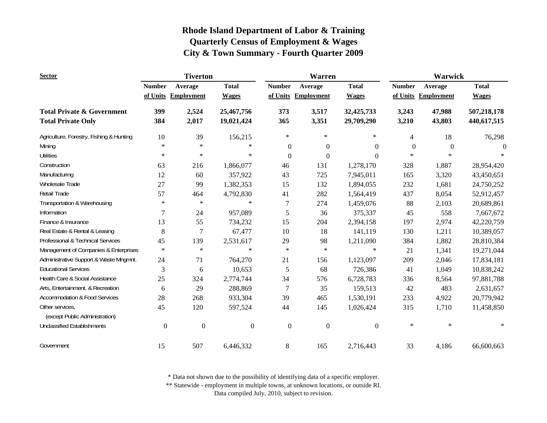| <b>Sector</b>                                     | <b>Tiverton</b>  |                   |                  |                  | Warren            |                  | <b>Warwick</b>   |                   |              |
|---------------------------------------------------|------------------|-------------------|------------------|------------------|-------------------|------------------|------------------|-------------------|--------------|
|                                                   | <b>Number</b>    | Average           | <b>Total</b>     | <b>Number</b>    | Average           | <b>Total</b>     | <b>Number</b>    | Average           | <b>Total</b> |
|                                                   | of Units         | <b>Employment</b> | <b>Wages</b>     | of Units         | <b>Employment</b> | <b>Wages</b>     | of Units         | <b>Employment</b> | <b>Wages</b> |
| <b>Total Private &amp; Government</b>             | 399              | 2,524             | 25,467,756       | 373              | 3,517             | 32,425,733       | 3,243            | 47,988            | 507,218,178  |
| <b>Total Private Only</b>                         | 384              | 2,017             | 19,021,424       | 365              | 3,351             | 29,709,290       | 3,210            | 43,803            | 440,617,515  |
| Agriculture, Forestry, Fishing & Hunting          | 10               | 39                | 156,215          | $\ast$           | $\ast$            | $\ast$           | $\overline{4}$   | 18                | 76,298       |
| Mining                                            | $\star$          | $\ast$            | $\ast$           | $\boldsymbol{0}$ | $\theta$          | $\overline{0}$   | $\boldsymbol{0}$ | $\theta$          | $\Omega$     |
| <b>Utilities</b>                                  | $\ast$           | $\ast$            | $\ast$           | $\boldsymbol{0}$ | $\mathbf{0}$      | $\Omega$         | $\ast$           | $\ast$            | $\ast$       |
| Construction                                      | 63               | 216               | 1,866,077        | 46               | 131               | 1,278,170        | 328              | 1,887             | 28,954,420   |
| Manufacturing                                     | 12               | 60                | 357,922          | 43               | 725               | 7,945,011        | 165              | 3,320             | 43,450,651   |
| <b>Wholesale Trade</b>                            | 27               | 99                | 1,382,353        | 15               | 132               | 1,894,055        | 232              | 1,681             | 24,750,252   |
| Retail Trade                                      | 57               | 464               | 4,792,830        | 41               | 282               | 1,564,419        | 437              | 8,054             | 52,912,457   |
| Transportation & Warehousing                      | $\ast$           | $\ast$            | $\ast$           | 7                | 274               | 1,459,076        | 88               | 2,103             | 20,689,861   |
| Information                                       | 7                | 24                | 957,089          | 5                | 36                | 375,337          | 45               | 558               | 7,667,672    |
| Finance & Insurance                               | 13               | 55                | 734,232          | 15               | 204               | 2,394,158        | 197              | 2,974             | 42,220,759   |
| Real Estate & Rental & Leasing                    | 8                | 7                 | 67,477           | 10               | 18                | 141,119          | 130              | 1,211             | 10,389,057   |
| Professional & Technical Services                 | 45               | 139               | 2,531,617        | 29               | 98                | 1,211,090        | 384              | 1,882             | 28,810,384   |
| Management of Companies & Enterprises             | $\ast$           | $\ast$            | $\ast$           | $\ast$           | $\ast$            | $\ast$           | 21               | 1,341             | 19,271,044   |
| Administrative Support & Waste Mngmnt.            | 24               | 71                | 764,270          | 21               | 156               | 1,123,097        | 209              | 2,046             | 17,834,181   |
| <b>Educational Services</b>                       | 3                | $\boldsymbol{6}$  | 10,653           | 5                | 68                | 726,386          | 41               | 1,049             | 10,838,242   |
| Health Care & Social Assistance                   | 25               | 324               | 2,774,744        | 34               | 576               | 6,728,783        | 336              | 8,564             | 97,881,788   |
| Arts, Entertainment, & Recreation                 | 6                | 29                | 288,869          | $\overline{7}$   | 35                | 159,513          | 42               | 483               | 2,631,657    |
| <b>Accommodation &amp; Food Services</b>          | 28               | 268               | 933,304          | 39               | 465               | 1,530,191        | 233              | 4,922             | 20,779,942   |
| Other services,<br>(except Public Administration) | 45               | 120               | 597,524          | 44               | 145               | 1,026,424        | 315              | 1,710             | 11,458,850   |
| <b>Unclassified Establishments</b>                | $\boldsymbol{0}$ | $\boldsymbol{0}$  | $\boldsymbol{0}$ | $\boldsymbol{0}$ | $\mathbf{0}$      | $\boldsymbol{0}$ | $\ast$           | $\ast$            | $\ast$       |
| Government                                        | 15               | 507               | 6,446,332        | 8                | 165               | 2,716,443        | 33               | 4,186             | 66,600,663   |

\* Data not shown due to the possibility of identifying data of a specific employer.

\*\* Statewide - employment in multiple towns, at unknown locations, or outside RI.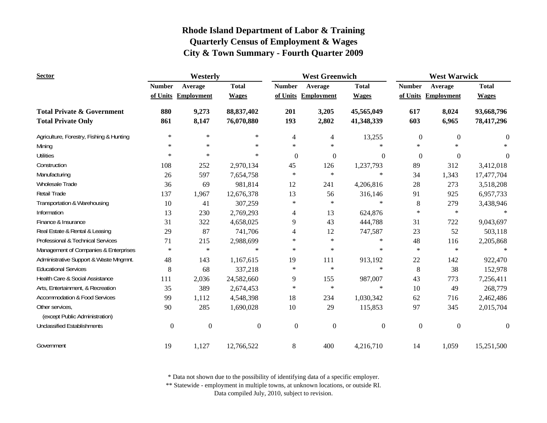| <b>Sector</b>                                     | Westerly         |                     |                  | <b>West Greenwich</b> |                     |                  | <b>West Warwick</b> |                     |                  |
|---------------------------------------------------|------------------|---------------------|------------------|-----------------------|---------------------|------------------|---------------------|---------------------|------------------|
|                                                   | <b>Number</b>    | Average             | <b>Total</b>     | <b>Number</b>         | Average             | <b>Total</b>     | <b>Number</b>       | Average             | <b>Total</b>     |
|                                                   |                  | of Units Employment | <b>Wages</b>     |                       | of Units Employment | <b>Wages</b>     |                     | of Units Employment | <b>Wages</b>     |
| <b>Total Private &amp; Government</b>             | 880              | 9,273               | 88, 837, 402     | 201                   | 3,205               | 45,565,049       | 617                 | 8,024               | 93,668,796       |
| <b>Total Private Only</b>                         | 861              | 8,147               | 76,070,880       | 193                   | 2,802               | 41,348,339       | 603                 | 6,965               | 78,417,296       |
| Agriculture, Forestry, Fishing & Hunting          | $\ast$           | $\ast$              | $\ast$           | 4                     | 4                   | 13,255           | $\boldsymbol{0}$    | $\mathbf{0}$        | $\overline{0}$   |
| Mining                                            | $\ast$           | $\ast$              | $\ast$           | $\ast$                | $\ast$              | $\ast$           | $\ast$              | $\ast$              |                  |
| <b>Utilities</b>                                  | $\ast$           | $\ast$              | $\ast$           | $\Omega$              | $\boldsymbol{0}$    | $\theta$         | $\boldsymbol{0}$    | $\boldsymbol{0}$    | $\theta$         |
| Construction                                      | 108              | 252                 | 2,970,134        | 45                    | 126                 | 1,237,793        | 89                  | 312                 | 3,412,018        |
| Manufacturing                                     | 26               | 597                 | 7,654,758        | *                     | $\ast$              | $\ast$           | 34                  | 1,343               | 17,477,704       |
| Wholesale Trade                                   | 36               | 69                  | 981,814          | 12                    | 241                 | 4,206,816        | 28                  | 273                 | 3,518,208        |
| <b>Retail Trade</b>                               | 137              | 1,967               | 12,676,378       | 13                    | 56                  | 316,146          | 91                  | 925                 | 6,957,733        |
| Transportation & Warehousing                      | 10               | 41                  | 307,259          | $\ast$                | $\ast$              | $\ast$           | $8\,$               | 279                 | 3,438,946        |
| Information                                       | 13               | 230                 | 2,769,293        | 4                     | 13                  | 624,876          | $\ast$              | $\ast$              |                  |
| Finance & Insurance                               | 31               | 322                 | 4,658,025        | 9                     | 43                  | 444,788          | 31                  | 722                 | 9,043,697        |
| Real Estate & Rental & Leasing                    | 29               | 87                  | 741,706          | 4                     | 12                  | 747,587          | 23                  | 52                  | 503,118          |
| Professional & Technical Services                 | 71               | 215                 | 2,988,699        | $\ast$                | $\ast$              | $\ast$           | 48                  | 116                 | 2,205,868        |
| Management of Companies & Enterprises             | $\ast$           | $\ast$              | $\ast$           | $\ast$                | $\ast$              | $\ast$           | $\ast$              | $\ast$              | $\ast$           |
| Administrative Support & Waste Mngmnt.            | 48               | 143                 | 1,167,615        | 19                    | 111                 | 913,192          | $22\,$              | 142                 | 922,470          |
| <b>Educational Services</b>                       | 8                | 68                  | 337,218          | $\ast$                | $\ast$              | $\ast$           | 8                   | 38                  | 152,978          |
| Health Care & Social Assistance                   | 111              | 2,036               | 24,582,660       | 9                     | 155                 | 987,007          | 43                  | 773                 | 7,256,411        |
| Arts, Entertainment, & Recreation                 | 35               | 389                 | 2,674,453        | $\ast$                | $\ast$              | $\ast$           | 10                  | 49                  | 268,779          |
| <b>Accommodation &amp; Food Services</b>          | 99               | 1,112               | 4,548,398        | 18                    | 234                 | 1,030,342        | 62                  | 716                 | 2,462,486        |
| Other services,<br>(except Public Administration) | 90               | 285                 | 1,690,028        | 10                    | 29                  | 115,853          | 97                  | 345                 | 2,015,704        |
| <b>Unclassified Establishments</b>                | $\boldsymbol{0}$ | $\boldsymbol{0}$    | $\boldsymbol{0}$ | $\mathbf{0}$          | $\boldsymbol{0}$    | $\boldsymbol{0}$ | $\boldsymbol{0}$    | $\mathbf{0}$        | $\boldsymbol{0}$ |
| Government                                        | 19               | 1,127               | 12,766,522       | 8                     | 400                 | 4,216,710        | 14                  | 1,059               | 15,251,500       |

\* Data not shown due to the possibility of identifying data of a specific employer.

\*\* Statewide - employment in multiple towns, at unknown locations, or outside RI.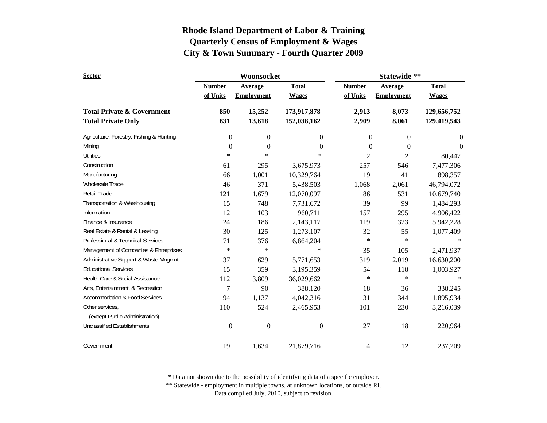| <b>Sector</b>                                                      |                           | Woonsocket                   |                              | Statewide **              |                              |                                                            |  |
|--------------------------------------------------------------------|---------------------------|------------------------------|------------------------------|---------------------------|------------------------------|------------------------------------------------------------|--|
|                                                                    | <b>Number</b><br>of Units | Average<br><b>Employment</b> | <b>Total</b><br><b>Wages</b> | <b>Number</b><br>of Units | Average<br><b>Employment</b> | <b>Total</b><br><b>Wages</b><br>129,656,752<br>129,419,543 |  |
| <b>Total Private &amp; Government</b><br><b>Total Private Only</b> | 850<br>831                | 15,252<br>13,618             | 173,917,878<br>152,038,162   | 2,913<br>2,909            | 8,073<br>8,061               |                                                            |  |
| Agriculture, Forestry, Fishing & Hunting                           | 0                         | $\boldsymbol{0}$             | $\mathbf{0}$                 | $\boldsymbol{0}$          | $\boldsymbol{0}$             | $\boldsymbol{0}$                                           |  |
| Mining                                                             | 0                         | $\boldsymbol{0}$             | $\theta$                     | $\boldsymbol{0}$          | $\boldsymbol{0}$             | $\boldsymbol{0}$                                           |  |
| <b>Utilities</b>                                                   | $\ast$                    | $\ast$                       | $\ast$                       | 2                         | $\overline{c}$               | 80,447                                                     |  |
| Construction                                                       | 61                        | 295                          | 3,675,973                    | 257                       | 546                          | 7,477,306                                                  |  |
| Manufacturing                                                      | 66                        | 1,001                        | 10,329,764                   | 19                        | 41                           | 898,357                                                    |  |
| <b>Wholesale Trade</b>                                             | 46                        | 371                          | 5,438,503                    | 1,068                     | 2,061                        | 46,794,072                                                 |  |
| Retail Trade                                                       | 121                       | 1,679                        | 12,070,097                   | 86                        | 531                          | 10,679,740                                                 |  |
| Transportation & Warehousing                                       | 15                        | 748                          | 7,731,672                    | 39                        | 99                           | 1,484,293                                                  |  |
| Information                                                        | 12                        | 103                          | 960,711                      | 157                       | 295                          | 4,906,422                                                  |  |
| Finance & Insurance                                                | 24                        | 186                          | 2,143,117                    | 119                       | 323                          | 5,942,228                                                  |  |
| Real Estate & Rental & Leasing                                     | 30                        | 125                          | 1,273,107                    | 32                        | 55                           | 1,077,409                                                  |  |
| Professional & Technical Services                                  | 71                        | 376                          | 6,864,204                    | $\ast$                    | $\ast$                       |                                                            |  |
| Management of Companies & Enterprises                              | $\ast$                    | $\ast$                       | $\ast$                       | 35                        | 105                          | 2,471,937                                                  |  |
| Administrative Support & Waste Mngmnt.                             | 37                        | 629                          | 5,771,653                    | 319                       | 2,019                        | 16,630,200                                                 |  |
| <b>Educational Services</b>                                        | 15                        | 359                          | 3,195,359                    | 54                        | 118                          | 1,003,927                                                  |  |
| Health Care & Social Assistance                                    | 112                       | 3,809                        | 36,029,662                   | $\ast$                    | $\ast$                       |                                                            |  |
| Arts, Entertainment, & Recreation                                  | 7                         | 90                           | 388,120                      | 18                        | 36                           | 338,245                                                    |  |
| <b>Accommodation &amp; Food Services</b>                           | 94                        | 1,137                        | 4,042,316                    | 31                        | 344                          | 1,895,934                                                  |  |
| Other services,<br>(except Public Administration)                  | 110                       | 524                          | 2,465,953                    | 101                       | 230                          | 3,216,039                                                  |  |
| <b>Unclassified Establishments</b>                                 | $\boldsymbol{0}$          | $\boldsymbol{0}$             | $\mathbf{0}$                 | 27                        | 18                           | 220,964                                                    |  |
| Government                                                         | 19                        | 1,634                        | 21,879,716                   | 4                         | 12                           | 237,209                                                    |  |

\* Data not shown due to the possibility of identifying data of a specific employer.

\*\* Statewide - employment in multiple towns, at unknown locations, or outside RI.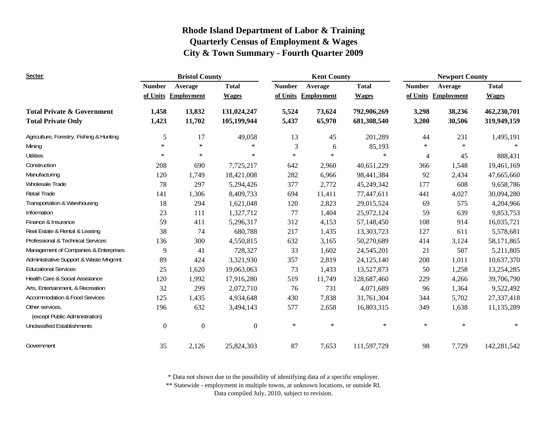| <b>Sector</b>                                     | <b>Bristol County</b> |                     |                  | <b>Kent County</b> |                   |              | <b>Newport County</b> |                   |              |
|---------------------------------------------------|-----------------------|---------------------|------------------|--------------------|-------------------|--------------|-----------------------|-------------------|--------------|
|                                                   | <b>Number</b>         | Average             | <b>Total</b>     | <b>Number</b>      | Average           | <b>Total</b> | <b>Number</b>         | Average           | <b>Total</b> |
|                                                   |                       | of Units Employment | <b>Wages</b>     | of Units           | <b>Employment</b> | <b>Wages</b> | of Units              | <b>Employment</b> | <b>Wages</b> |
| <b>Total Private &amp; Government</b>             | 1,458                 | 13,832              | 131,024,247      | 5,524              | 73,624            | 792,906,269  | 3,298                 | 38,236            | 462,230,701  |
| <b>Total Private Only</b>                         | 1,423                 | 11,702              | 105,199,944      | 5,437              | 65,970            | 681,308,540  | 3,200                 | 30,506            | 319,949,159  |
| Agriculture, Forestry, Fishing & Hunting          | 5                     | 17                  | 49,058           | 13                 | 45                | 201,289      | 44                    | 231               | 1,495,191    |
| Mining                                            | $\star$               | $\ast$              | $\ast$           | 3                  | 6                 | 85,193       | $\ast$                | $\ast$            |              |
| <b>Utilities</b>                                  | $\star$               | $\ast$              | $\ast$           | $\ast$             | $\ast$            | $\ast$       | $\overline{4}$        | 45                | 888,431      |
| Construction                                      | 208                   | 690                 | 7,725,217        | 642                | 2,960             | 40,651,229   | 366                   | 1,548             | 19,461,169   |
| Manufacturing                                     | 120                   | 1,749               | 18,421,008       | 282                | 6,966             | 98,441,384   | 92                    | 2,434             | 47,665,660   |
| Wholesale Trade                                   | 78                    | 297                 | 5,294,426        | 377                | 2,772             | 45,249,342   | 177                   | 608               | 9,658,786    |
| Retail Trade                                      | 141                   | 1,306               | 8,409,733        | 694                | 11,411            | 77,447,611   | 441                   | 4,027             | 30,094,280   |
| Transportation & Warehousing                      | 18                    | 294                 | 1,621,048        | 120                | 2,823             | 29,015,524   | 69                    | 575               | 4,204,966    |
| Information                                       | 23                    | 111                 | 1,327,712        | 77                 | 1,404             | 25,972,124   | 59                    | 639               | 9,853,753    |
| Finance & Insurance                               | 59                    | 411                 | 5,296,317        | 312                | 4,153             | 57,148,450   | 108                   | 914               | 16,035,721   |
| Real Estate & Rental & Leasing                    | 38                    | 74                  | 680,788          | 217                | 1,435             | 13,303,723   | 127                   | 611               | 5,578,681    |
| Professional & Technical Services                 | 136                   | 300                 | 4,550,815        | 632                | 3,165             | 50,270,689   | 414                   | 3,124             | 58,171,865   |
| Management of Companies & Enterprises             | 9                     | 41                  | 728,327          | 33                 | 1,602             | 24,545,201   | 21                    | 507               | 5,211,805    |
| Administrative Support & Waste Mngmnt.            | 89                    | 424                 | 3,321,930        | 357                | 2,819             | 24,125,140   | 208                   | 1,011             | 10,637,370   |
| <b>Educational Services</b>                       | 25                    | 1,620               | 19,063,063       | 73                 | 1,433             | 13,527,873   | 50                    | 1,258             | 13,254,285   |
| Health Care & Social Assistance                   | 120                   | 1,992               | 17,916,280       | 519                | 11,749            | 128,687,460  | 229                   | 4,266             | 39,706,790   |
| Arts, Entertainment, & Recreation                 | 32                    | 299                 | 2,072,710        | 76                 | 731               | 4,071,689    | 96                    | 1,364             | 9,522,492    |
| <b>Accommodation &amp; Food Services</b>          | 125                   | 1,435               | 4,934,648        | 430                | 7,838             | 31,761,304   | 344                   | 5,702             | 27,337,418   |
| Other services.<br>(except Public Administration) | 196                   | 632                 | 3,494,143        | 577                | 2,658             | 16,803,315   | 349                   | 1,638             | 11,135,289   |
| <b>Unclassified Establishments</b>                | $\boldsymbol{0}$      | $\boldsymbol{0}$    | $\boldsymbol{0}$ | $\ast$             | $\ast$            | $\ast$       | $\ast$                | $\ast$            | $\ast$       |
| Government                                        | 35                    | 2,126               | 25,824,303       | 87                 | 7,653             | 111,597,729  | 98                    | 7,729             | 142,281,542  |

\* Data not shown due to the possibility of identifying data of a specific employer.

\*\* Statewide - employment in multiple towns, at unknown locations, or outside RI.